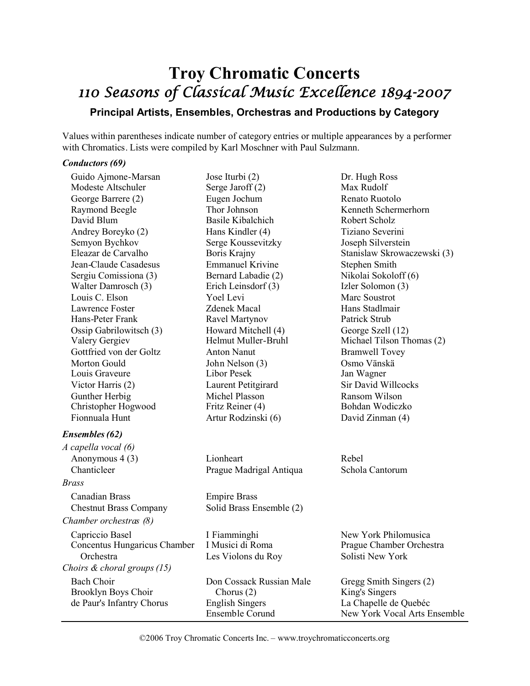# **Troy Chromatic Concerts** 110 Seasons of Classical Music Excellence 1894-2007

## **Principal Artists, Ensembles, Orchestras and Productions by Category**

Values within parentheses indicate number of category entries or multiple appearances by a performer with Chromatics. Lists were compiled by Karl Moschner with Paul Sulzmann.

#### *Conductors (69)*

| Guido Ajmone-Marsan            | Jose Iturbi (2)                  | Dr. Hugh Ross                |
|--------------------------------|----------------------------------|------------------------------|
| Modeste Altschuler             | Serge Jaroff (2)                 | Max Rudolf                   |
| George Barrere (2)             | Eugen Jochum                     | Renato Ruotolo               |
| Raymond Beegle                 | Thor Johnson                     | Kenneth Schermerhorn         |
| David Blum                     | <b>Basile Kibalchich</b>         | Robert Scholz                |
| Andrey Boreyko (2)             | Hans Kindler (4)                 | Tiziano Severini             |
| Semyon Bychkov                 | Serge Koussevitzky               | Joseph Silverstein           |
| Eleazar de Carvalho            | Boris Krajny                     | Stanislaw Skrowaczewski (3)  |
| Jean-Claude Casadesus          | <b>Emmanuel Krivine</b>          | Stephen Smith                |
| Sergiu Comissiona (3)          | Bernard Labadie (2)              | Nikolai Sokoloff (6)         |
| Walter Damrosch (3)            | Erich Leinsdorf (3)              | Izler Solomon (3)            |
| Louis C. Elson                 | Yoel Levi                        | Marc Soustrot                |
| Lawrence Foster                | <b>Zdenek Macal</b>              | Hans Stadlmair               |
| Hans-Peter Frank               | Ravel Martynov                   | Patrick Strub                |
| Ossip Gabrilowitsch (3)        | Howard Mitchell (4)              | George Szell (12)            |
| Valery Gergiev                 | Helmut Muller-Bruhl              | Michael Tilson Thomas (2)    |
| Gottfried von der Goltz        | <b>Anton Nanut</b>               | <b>Bramwell Tovey</b>        |
| Morton Gould                   | John Nelson (3)                  | Osmo Vänskä                  |
| Louis Graveure                 | <b>Libor Pesek</b>               | Jan Wagner                   |
| Victor Harris (2)              | Laurent Petitgirard              | <b>Sir David Willcocks</b>   |
| Gunther Herbig                 | Michel Plasson                   | Ransom Wilson                |
| Christopher Hogwood            | Fritz Reiner (4)                 | Bohdan Wodiczko              |
| Fionnuala Hunt                 | Artur Rodzinski (6)              | David Zinman (4)             |
| <b>Ensembles</b> (62)          |                                  |                              |
| A capella vocal (6)            |                                  |                              |
| Anonymous 4 (3)                | Lionheart                        | Rebel                        |
| Chanticleer                    | Prague Madrigal Antiqua          | Schola Cantorum              |
| Brass                          |                                  |                              |
| <b>Canadian Brass</b>          | <b>Empire Brass</b>              |                              |
| <b>Chestnut Brass Company</b>  | Solid Brass Ensemble (2)         |                              |
| Chamber orchestras (8)         |                                  |                              |
|                                |                                  |                              |
| Capriccio Basel                | I Fiamminghi<br>I Musici di Roma | New York Philomusica         |
| Concentus Hungaricus Chamber   |                                  | Prague Chamber Orchestra     |
| Orchestra                      | Les Violons du Roy               | Solisti New York             |
| Choirs $\&$ choral groups (15) |                                  |                              |
| <b>Bach Choir</b>              | Don Cossack Russian Male         | Gregg Smith Singers (2)      |
| Brooklyn Boys Choir            | Chorus $(2)$                     | King's Singers               |
| de Paur's Infantry Chorus      | <b>English Singers</b>           | La Chapelle de Quebéc        |
|                                | Ensemble Corund                  | New York Vocal Arts Ensemble |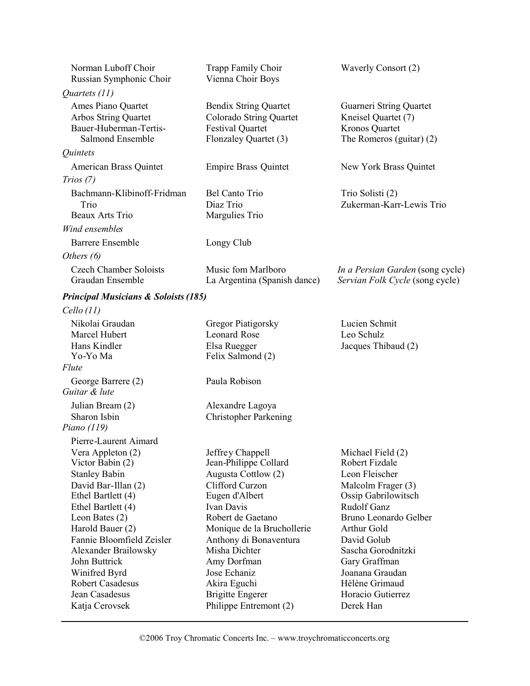| Norman Luboff Choir<br>Russian Symphonic Choir                                           | Trapp Family Choir<br>Vienna Choir Boys                                                                     | Waverly Consort (2)                                                                            |
|------------------------------------------------------------------------------------------|-------------------------------------------------------------------------------------------------------------|------------------------------------------------------------------------------------------------|
| Quartets (11)                                                                            |                                                                                                             |                                                                                                |
| Ames Piano Quartet<br>Arbos String Quartet<br>Bauer-Huberman-Tertis-<br>Salmond Ensemble | <b>Bendix String Quartet</b><br>Colorado String Quartet<br><b>Festival Quartet</b><br>Flonzaley Quartet (3) | Guarneri String Quartet<br>Kneisel Quartet (7)<br>Kronos Quartet<br>The Romeros (guitar) $(2)$ |
| Quintets                                                                                 |                                                                                                             |                                                                                                |
| American Brass Quintet                                                                   | <b>Empire Brass Quintet</b>                                                                                 | New York Brass Quintet                                                                         |
| Trios(7)                                                                                 |                                                                                                             |                                                                                                |
| Bachmann-Klibinoff-Fridman                                                               | Bel Canto Trio                                                                                              | Trio Solisti (2)                                                                               |
| Trio                                                                                     | Diaz Trio                                                                                                   | Zukerman-Karr-Lewis Trio                                                                       |
| Beaux Arts Trio                                                                          | Margulies Trio                                                                                              |                                                                                                |
| Wind ensembles                                                                           |                                                                                                             |                                                                                                |
| <b>Barrere Ensemble</b>                                                                  | Longy Club                                                                                                  |                                                                                                |
| Others $(6)$                                                                             |                                                                                                             |                                                                                                |
| <b>Czech Chamber Soloists</b><br>Graudan Ensemble                                        | Music fom Marlboro<br>La Argentina (Spanish dance)                                                          | In a Persian Garden (song cycle)<br>Servian Folk Cycle (song cycle)                            |
| <b>Principal Musicians &amp; Soloists (185)</b>                                          |                                                                                                             |                                                                                                |
| Cello(11)                                                                                |                                                                                                             |                                                                                                |
| Nikolai Graudan                                                                          | Gregor Piatigorsky                                                                                          | Lucien Schmit                                                                                  |
| Marcel Hubert                                                                            | <b>Leonard Rose</b>                                                                                         | Leo Schulz                                                                                     |
| Hans Kindler                                                                             | Elsa Ruegger                                                                                                | Jacques Thibaud (2)                                                                            |
| Yo-Yo Ma                                                                                 | Felix Salmond (2)                                                                                           |                                                                                                |
| Flute                                                                                    |                                                                                                             |                                                                                                |
| George Barrere (2)<br>Guitar & lute                                                      | Paula Robison                                                                                               |                                                                                                |
| Julian Bream (2)                                                                         | Alexandre Lagoya                                                                                            |                                                                                                |
| Sharon Isbin                                                                             | <b>Christopher Parkening</b>                                                                                |                                                                                                |
| Piano (119)                                                                              |                                                                                                             |                                                                                                |
| Pierre-Laurent Aimard                                                                    |                                                                                                             |                                                                                                |
| Vera Appleton (2)                                                                        | Jeffrey Chappell                                                                                            | Michael Field (2)                                                                              |
| Victor Babin (2)                                                                         | Jean-Philippe Collard                                                                                       | Robert Fizdale                                                                                 |
| <b>Stanley Babin</b>                                                                     | Augusta Cottlow (2)                                                                                         | Leon Fleischer                                                                                 |
| David Bar-Illan (2)                                                                      | Clifford Curzon                                                                                             | Malcolm Frager (3)                                                                             |
| Ethel Bartlett (4)                                                                       | Eugen d'Albert<br>Ivan Davis                                                                                | Ossip Gabrilowitsch<br><b>Rudolf Ganz</b>                                                      |
| Ethel Bartlett (4)<br>Leon Bates (2)                                                     | Robert de Gaetano                                                                                           | Bruno Leonardo Gelber                                                                          |
| Harold Bauer (2)                                                                         | Monique de la Bruchollerie                                                                                  | Arthur Gold                                                                                    |
| Fannie Bloomfield Zeisler                                                                | Anthony di Bonaventura                                                                                      | David Golub                                                                                    |
| Alexander Brailowsky                                                                     | Misha Dichter                                                                                               | Sascha Gorodnitzki                                                                             |
| John Buttrick                                                                            | Amy Dorfman                                                                                                 | Gary Graffman                                                                                  |
| Winifred Byrd                                                                            | Jose Echaniz                                                                                                | Joanana Graudan                                                                                |
| <b>Robert Casadesus</b>                                                                  | Akira Eguchi                                                                                                | Hélène Grimaud                                                                                 |
| Jean Casadesus                                                                           | <b>Brigitte Engerer</b>                                                                                     | Horacio Gutierrez                                                                              |
| Katja Cerovsek                                                                           | Philippe Entremont (2)                                                                                      | Derek Han                                                                                      |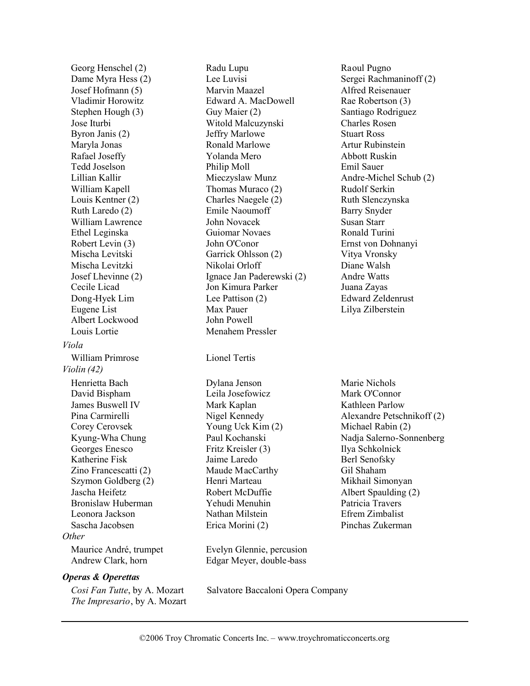Georg Henschel (2) Dame Myra Hess (2) Josef Hofmann (5) Vladimir Horowitz Stephen Hough (3) Jose Iturbi Byron Janis (2) Maryla Jonas Rafael Joseffy Tedd Joselson Lillian Kallir William Kapell Louis Kentner (2) Ruth Laredo (2) William Lawrence Ethel Leginska Robert Levin (3) Mischa Levitski Mischa Levitzki Josef Lhevinne (2) Cecile Licad Dong-Hyek Lim Eugene List Albert Lockwood Louis Lortie *Viola* William Primrose Lionel Tertis *Violin (42)* Henrietta Bach David Bispham James Buswell IV Pina Carmirelli Corey Cerovsek Kyung-Wha Chung Georges Enesco Katherine Fisk Zino Francescatti (2) Szymon Goldberg (2) Jascha Heifetz Bronislaw Huberman Leonora Jackson Sascha Jacobsen *Other* Maurice André, trumpet Andrew Clark, horn *Operas & Operettas*

*Cosi Fan Tutte*, by A. Mozart *The Impresario*, by A. Mozart Radu Lupu Lee Luvisi Marvin Maazel Edward A. MacDowell Guy Maier (2) Witold Malcuzynski Jeffry Marlowe Ronald Marlowe Yolanda Mero Philip Moll Mieczyslaw Munz Thomas Muraco (2) Charles Naegele (2) Emile Naoumoff John Novacek Guiomar Novaes John O'Conor Garrick Ohlsson (2) Nikolai Orloff Ignace Jan Paderewski (2) Jon Kimura Parker Lee Pattison (2) Max Pauer John Powell Menahem Pressler

Dylana Jenson Leila Josefowicz Mark Kaplan Nigel Kennedy Young Uck Kim (2) Paul Kochanski Fritz Kreisler (3) Jaime Laredo Maude MacCarthy Henri Marteau Robert McDuffie Yehudi Menuhin Nathan Milstein Erica Morini (2)

Evelyn Glennie, percusion Edgar Meyer, double-bass

Salvatore Baccaloni Opera Company

Raoul Pugno Sergei Rachmaninoff (2) Alfred Reisenauer Rae Robertson (3) Santiago Rodriguez Charles Rosen Stuart Ross Artur Rubinstein Abbott Ruskin Emil Sauer Andre-Michel Schub (2) Rudolf Serkin Ruth Slenczynska Barry Snyder Susan Starr Ronald Turini Ernst von Dohnanyi Vitya Vronsky Diane Walsh Andre Watts Juana Zayas Edward Zeldenrust Lilya Zilberstein

Marie Nichols Mark O'Connor Kathleen Parlow Alexandre Petschnikoff (2) Michael Rabin (2) Nadja Salerno-Sonnenberg Ilya Schkolnick Berl Senofsky Gil Shaham Mikhail Simonyan Albert Spaulding (2) Patricia Travers Efrem Zimbalist Pinchas Zukerman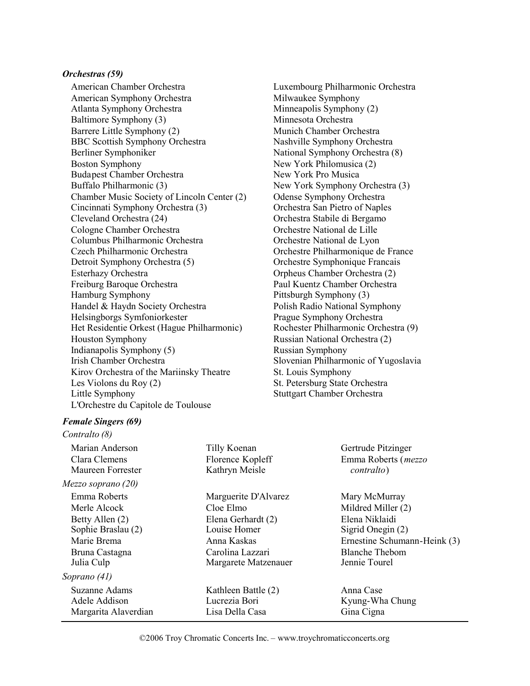#### *Orchestras (59)*

American Chamber Orchestra American Symphony Orchestra Atlanta Symphony Orchestra Baltimore Symphony (3) Barrere Little Symphony (2) BBC Scottish Symphony Orchestra Berliner Symphoniker Boston Symphony Budapest Chamber Orchestra Buffalo Philharmonic (3) Chamber Music Society of Lincoln Center (2) Cincinnati Symphony Orchestra (3) Cleveland Orchestra (24) Cologne Chamber Orchestra Columbus Philharmonic Orchestra Czech Philharmonic Orchestra Detroit Symphony Orchestra (5) Esterhazy Orchestra Freiburg Baroque Orchestra Hamburg Symphony Handel & Haydn Society Orchestra Helsingborgs Symfoniorkester Het Residentie Orkest (Hague Philharmonic) Houston Symphony Indianapolis Symphony (5) Irish Chamber Orchestra Kirov Orchestra of the Mariinsky Theatre Les Violons du Roy (2) Little Symphony L'Orchestre du Capitole de Toulouse

Luxembourg Philharmonic Orchestra Milwaukee Symphony Minneapolis Symphony (2) Minnesota Orchestra Munich Chamber Orchestra Nashville Symphony Orchestra National Symphony Orchestra (8) New York Philomusica (2) New York Pro Musica New York Symphony Orchestra (3) Odense Symphony Orchestra Orchestra San Pietro of Naples Orchestra Stabile di Bergamo Orchestre National de Lille Orchestre National de Lyon Orchestre Philharmonique de France Orchestre Symphonique Francais Orpheus Chamber Orchestra (2) Paul Kuentz Chamber Orchestra Pittsburgh Symphony (3) Polish Radio National Symphony Prague Symphony Orchestra Rochester Philharmonic Orchestra (9) Russian National Orchestra (2) Russian Symphony Slovenian Philharmonic of Yugoslavia St. Louis Symphony St. Petersburg State Orchestra Stuttgart Chamber Orchestra

#### *Female Singers (69)*

*Contralto (8)* Marian Anderson Clara Clemens Maureen Forrester Tilly Koenan Florence Kopleff Kathryn Meisle Gertrude Pitzinger Emma Roberts (*mezzo contralto*) *Mezzo soprano (20)* Emma Roberts Merle Alcock Betty Allen (2) Sophie Braslau (2) Marie Brema Bruna Castagna Julia Culp Marguerite D'Alvarez Cloe Elmo Elena Gerhardt (2) Louise Homer Anna Kaskas Carolina Lazzari Margarete Matzenauer Mary McMurray Mildred Miller (2) Elena Niklaidi Sigrid Onegin (2) Ernestine Schumann-Heink (3) Blanche Thebom Jennie Tourel *Soprano (41)* Suzanne Adams Adele Addison Margarita Alaverdian Kathleen Battle (2) Lucrezia Bori Lisa Della Casa Anna Case Kyung-Wha Chung Gina Cigna